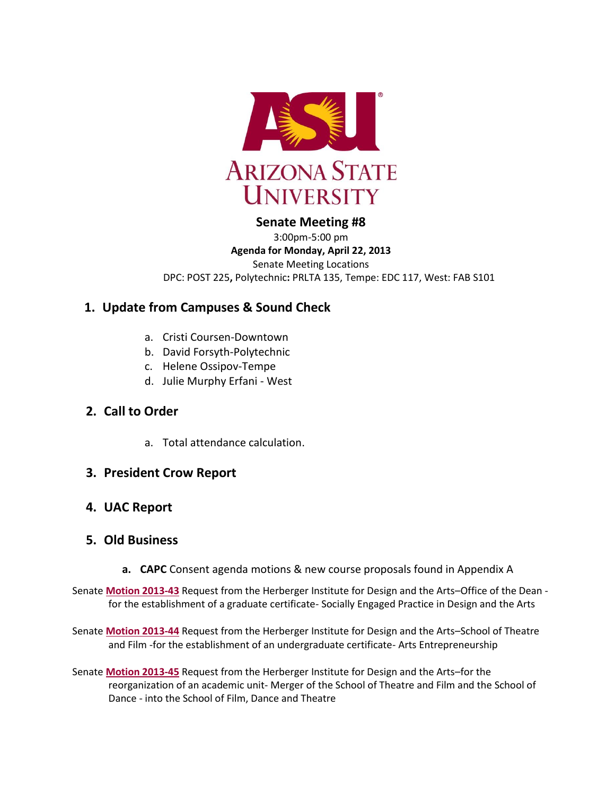

# **Senate Meeting #8**

3:00pm-5:00 pm **Agenda for Monday, April 22, 2013** Senate Meeting Locations DPC: POST 225**,** Polytechnic**:** PRLTA 135, Tempe: EDC 117, West: FAB S101

# **1. Update from Campuses & Sound Check**

- a. Cristi Coursen-Downtown
- b. David Forsyth-Polytechnic
- c. Helene Ossipov-Tempe
- d. Julie Murphy Erfani West

# **2. Call to Order**

a. Total attendance calculation.

## **3. President Crow Report**

# **4. UAC Report**

## **5. Old Business**

**a. CAPC** Consent agenda motions & new course proposals found in Appendix A

Senate **[Motion 2013-43](http://usenate.asu.edu/node/4512)** Request from the Herberger Institute for Design and the Arts–Office of the Dean for the establishment of a graduate certificate- Socially Engaged Practice in Design and the Arts

Senate **[Motion 2013-44](http://usenate.asu.edu/node/4513)** Request from the Herberger Institute for Design and the Arts–School of Theatre and Film -for the establishment of an undergraduate certificate- Arts Entrepreneurship

Senate **[Motion 2013-45](http://usenate.asu.edu/node/4514)** Request from the Herberger Institute for Design and the Arts–for the reorganization of an academic unit- Merger of the School of Theatre and Film and the School of Dance - into the School of Film, Dance and Theatre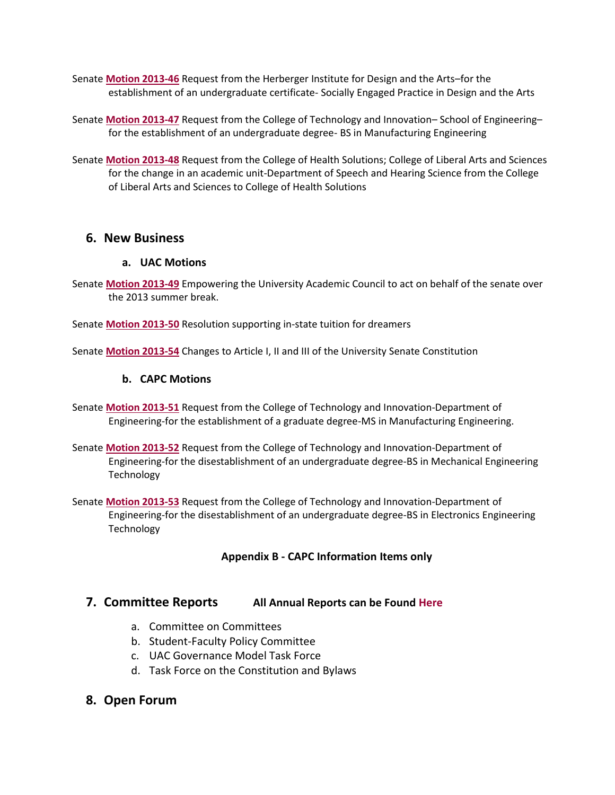- Senate **[Motion 2013-46](http://usenate.asu.edu/node/4515)** Request from the Herberger Institute for Design and the Arts–for the establishment of an undergraduate certificate- Socially Engaged Practice in Design and the Arts
- Senate **[Motion 2013-47](http://usenate.asu.edu/node/4516)** Request from the College of Technology and Innovation– School of Engineering– for the establishment of an undergraduate degree- BS in Manufacturing Engineering
- Senate **[Motion 2013-48](http://usenate.asu.edu/node/4517)** Request from the College of Health Solutions; College of Liberal Arts and Sciences for the change in an academic unit-Department of Speech and Hearing Science from the College of Liberal Arts and Sciences to College of Health Solutions

### **6. New Business**

#### **a. UAC Motions**

Senate **[Motion 2013-49](http://usenate.asu.edu/node/4525)** Empowering the University Academic Council to act on behalf of the senate over the 2013 summer break.

Senate **[Motion 2013-50](http://usenate.asu.edu/node/4526)** Resolution supporting in-state tuition for dreamers

Senate **Motion [2013-54](http://usenate.asu.edu/node/4532)** Changes to Article I, II and III of the University Senate Constitution

#### **b. CAPC Motions**

- Senate **[Motion 2013-51](http://usenate.asu.edu/node/4529)** Request from the College of Technology and Innovation-Department of Engineering-for the establishment of a graduate degree-MS in Manufacturing Engineering.
- Senate **[Motion 2013-52](http://usenate.asu.edu/node/4528)** Request from the College of Technology and Innovation-Department of Engineering-for the disestablishment of an undergraduate degree-BS in Mechanical Engineering Technology
- Senate **[Motion 2013-53](http://usenate.asu.edu/node/4527)** Request from the College of Technology and Innovation-Department of Engineering-for the disestablishment of an undergraduate degree-BS in Electronics Engineering Technology

#### **Appendix B - CAPC Information Items only**

## **7. Committee Reports All Annual Reports can be Found [Here](http://usenate.asu.edu/annualreport)**

- a. Committee on Committees
- b. Student-Faculty Policy Committee
- c. UAC Governance Model Task Force
- d. Task Force on the Constitution and Bylaws

## **8. Open Forum**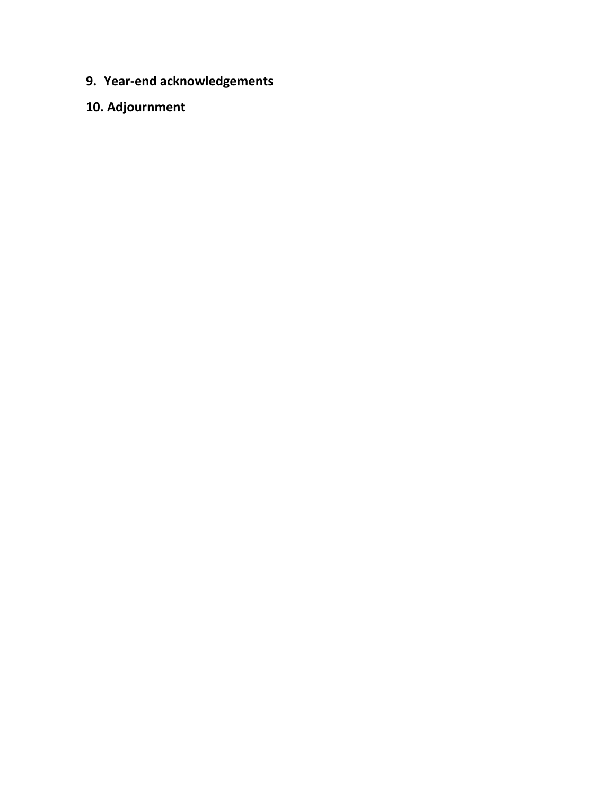- **9. Year-end acknowledgements**
- **10. Adjournment**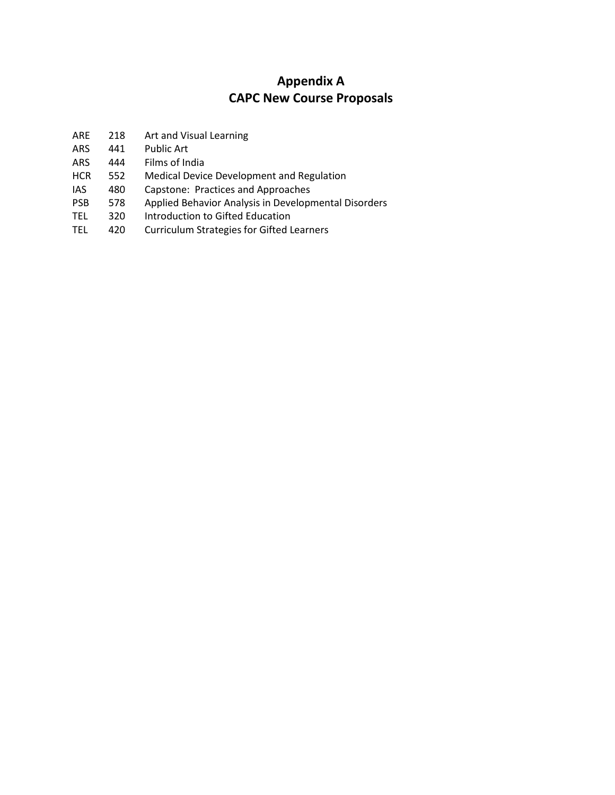# **Appendix A CAPC New Course Proposals**

- ARE 218 Art and Visual Learning
- ARS 441 Public Art
- ARS 444 Films of India
- HCR 552 Medical Device Development and Regulation
- IAS 480 Capstone: Practices and Approaches
- PSB 578 Applied Behavior Analysis in Developmental Disorders
- TEL 320 Introduction to Gifted Education
- TEL 420 Curriculum Strategies for Gifted Learners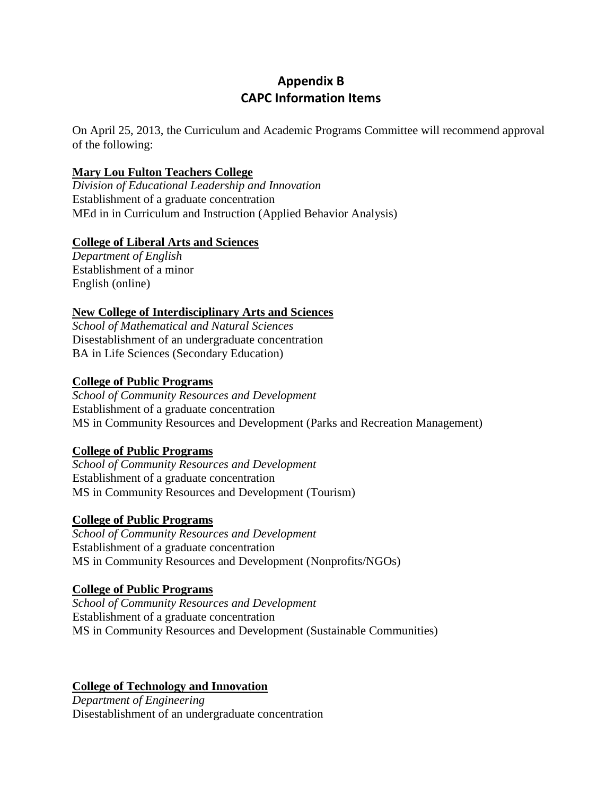# **Appendix B CAPC Information Items**

On April 25, 2013, the Curriculum and Academic Programs Committee will recommend approval of the following:

### **Mary Lou Fulton Teachers College**

*Division of Educational Leadership and Innovation* Establishment of a graduate concentration MEd in in Curriculum and Instruction (Applied Behavior Analysis)

### **College of Liberal Arts and Sciences**

*Department of English* Establishment of a minor English (online)

### **New College of Interdisciplinary Arts and Sciences**

*School of Mathematical and Natural Sciences*  Disestablishment of an undergraduate concentration BA in Life Sciences (Secondary Education)

#### **College of Public Programs**

*School of Community Resources and Development* Establishment of a graduate concentration MS in Community Resources and Development (Parks and Recreation Management)

## **College of Public Programs**

*School of Community Resources and Development* Establishment of a graduate concentration MS in Community Resources and Development (Tourism)

#### **College of Public Programs**

*School of Community Resources and Development* Establishment of a graduate concentration MS in Community Resources and Development (Nonprofits/NGOs)

#### **College of Public Programs**

*School of Community Resources and Development* Establishment of a graduate concentration MS in Community Resources and Development (Sustainable Communities)

#### **College of Technology and Innovation**

*Department of Engineering* Disestablishment of an undergraduate concentration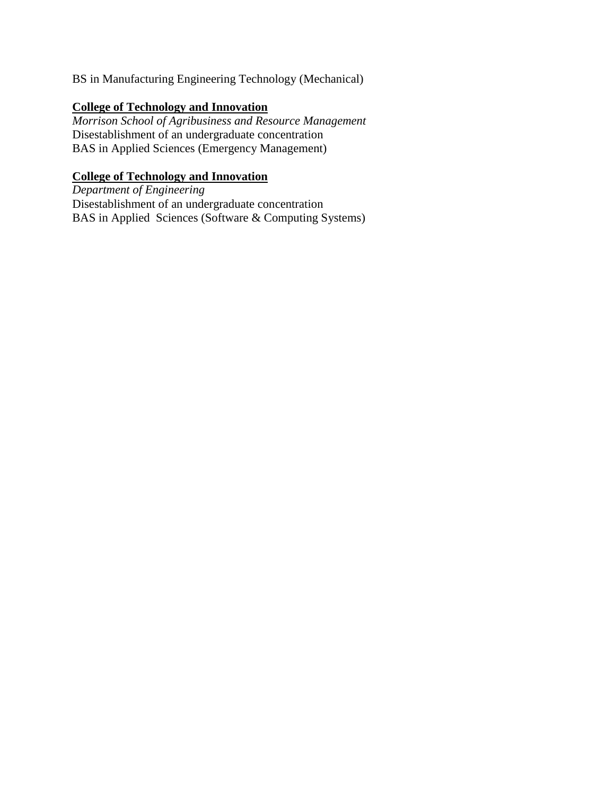BS in Manufacturing Engineering Technology (Mechanical)

# **College of Technology and Innovation**

*Morrison School of Agribusiness and Resource Management*  Disestablishment of an undergraduate concentration BAS in Applied Sciences (Emergency Management)

# **College of Technology and Innovation**

*Department of Engineering* Disestablishment of an undergraduate concentration BAS in Applied Sciences (Software & Computing Systems)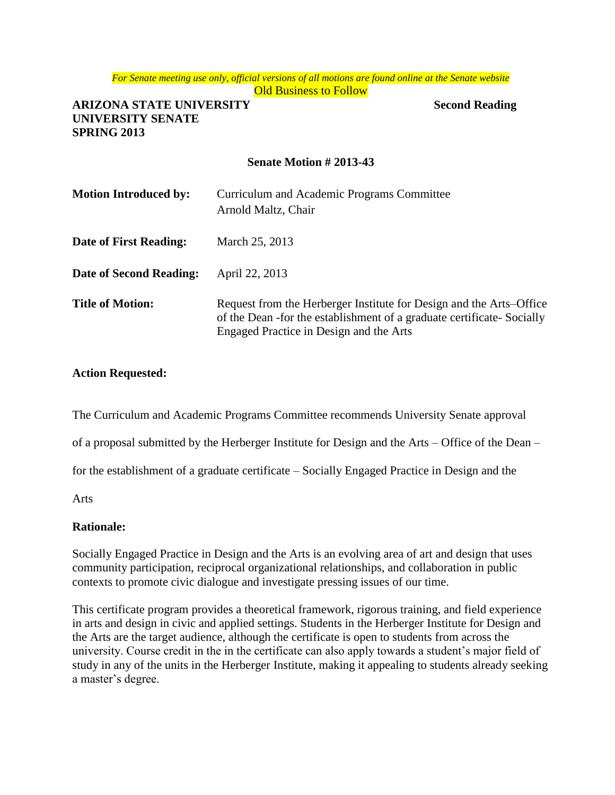*For Senate meeting use only, official versions of all motions are found online at the Senate website* **Old Business to Follow** 

### **ARIZONA STATE UNIVERSITY Second Reading UNIVERSITY SENATE SPRING 2013**

#### **Senate Motion # 2013-43**

| <b>Motion Introduced by:</b> | Curriculum and Academic Programs Committee<br>Arnold Maltz, Chair                                                                                                                        |
|------------------------------|------------------------------------------------------------------------------------------------------------------------------------------------------------------------------------------|
| Date of First Reading:       | March 25, 2013                                                                                                                                                                           |
| Date of Second Reading:      | April 22, 2013                                                                                                                                                                           |
| <b>Title of Motion:</b>      | Request from the Herberger Institute for Design and the Arts–Office<br>of the Dean -for the establishment of a graduate certificate- Socially<br>Engaged Practice in Design and the Arts |

#### **Action Requested:**

The Curriculum and Academic Programs Committee recommends University Senate approval

of a proposal submitted by the Herberger Institute for Design and the Arts – Office of the Dean –

for the establishment of a graduate certificate – Socially Engaged Practice in Design and the

Arts

#### **Rationale:**

Socially Engaged Practice in Design and the Arts is an evolving area of art and design that uses community participation, reciprocal organizational relationships, and collaboration in public contexts to promote civic dialogue and investigate pressing issues of our time.

This certificate program provides a theoretical framework, rigorous training, and field experience in arts and design in civic and applied settings. Students in the Herberger Institute for Design and the Arts are the target audience, although the certificate is open to students from across the university. Course credit in the in the certificate can also apply towards a student's major field of study in any of the units in the Herberger Institute, making it appealing to students already seeking a master's degree.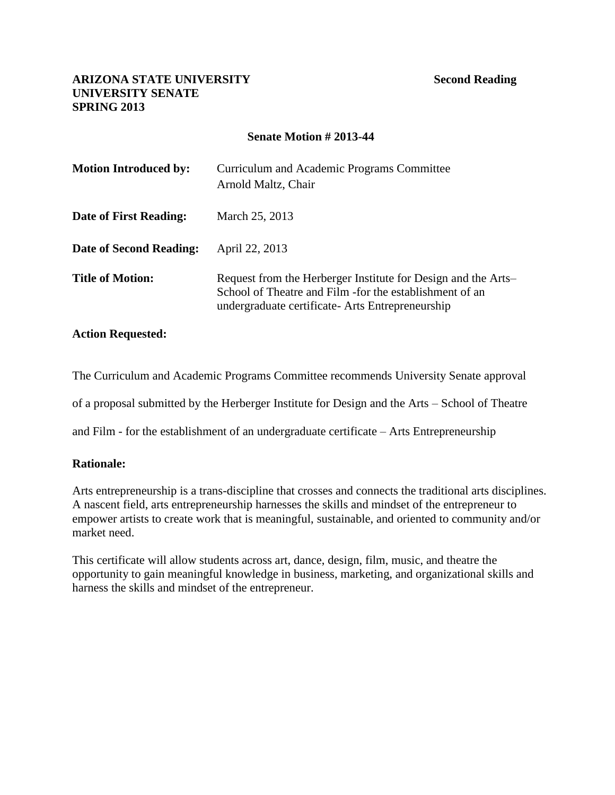#### **Senate Motion # 2013-44**

| <b>Motion Introduced by:</b> | Curriculum and Academic Programs Committee<br>Arnold Maltz, Chair                                                                                                              |
|------------------------------|--------------------------------------------------------------------------------------------------------------------------------------------------------------------------------|
| Date of First Reading:       | March 25, 2013                                                                                                                                                                 |
| Date of Second Reading:      | April 22, 2013                                                                                                                                                                 |
| <b>Title of Motion:</b>      | Request from the Herberger Institute for Design and the Arts–<br>School of Theatre and Film - for the establishment of an<br>undergraduate certificate - Arts Entrepreneurship |

#### **Action Requested:**

The Curriculum and Academic Programs Committee recommends University Senate approval

of a proposal submitted by the Herberger Institute for Design and the Arts – School of Theatre

and Film - for the establishment of an undergraduate certificate – Arts Entrepreneurship

#### **Rationale:**

Arts entrepreneurship is a trans-discipline that crosses and connects the traditional arts disciplines. A nascent field, arts entrepreneurship harnesses the skills and mindset of the entrepreneur to empower artists to create work that is meaningful, sustainable, and oriented to community and/or market need.

This certificate will allow students across art, dance, design, film, music, and theatre the opportunity to gain meaningful knowledge in business, marketing, and organizational skills and harness the skills and mindset of the entrepreneur.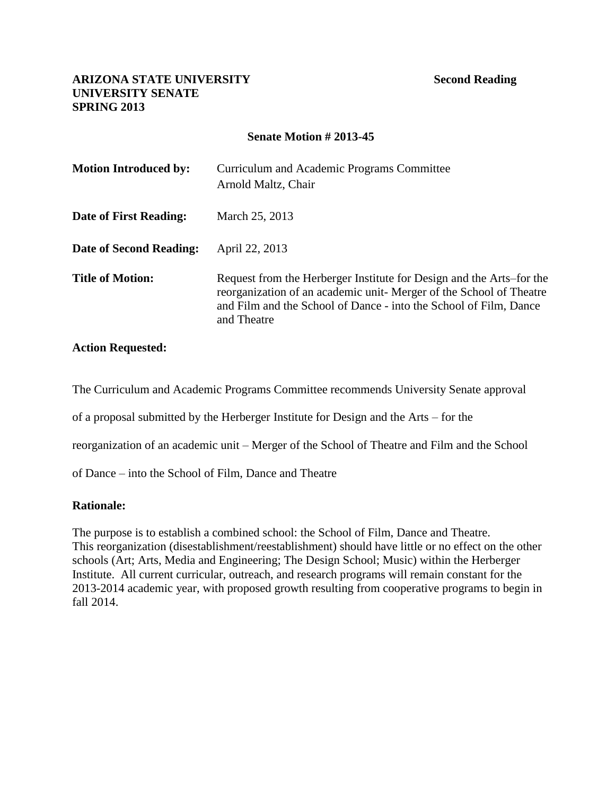#### **Senate Motion # 2013-45**

| <b>Motion Introduced by:</b> | Curriculum and Academic Programs Committee<br>Arnold Maltz, Chair                                                                                                                                                               |
|------------------------------|---------------------------------------------------------------------------------------------------------------------------------------------------------------------------------------------------------------------------------|
| Date of First Reading:       | March 25, 2013                                                                                                                                                                                                                  |
| Date of Second Reading:      | April 22, 2013                                                                                                                                                                                                                  |
| <b>Title of Motion:</b>      | Request from the Herberger Institute for Design and the Arts–for the<br>reorganization of an academic unit- Merger of the School of Theatre<br>and Film and the School of Dance - into the School of Film, Dance<br>and Theatre |

#### **Action Requested:**

The Curriculum and Academic Programs Committee recommends University Senate approval

of a proposal submitted by the Herberger Institute for Design and the Arts – for the

reorganization of an academic unit – Merger of the School of Theatre and Film and the School

of Dance – into the School of Film, Dance and Theatre

#### **Rationale:**

The purpose is to establish a combined school: the School of Film, Dance and Theatre. This reorganization (disestablishment/reestablishment) should have little or no effect on the other schools (Art; Arts, Media and Engineering; The Design School; Music) within the Herberger Institute. All current curricular, outreach, and research programs will remain constant for the 2013-2014 academic year, with proposed growth resulting from cooperative programs to begin in fall 2014.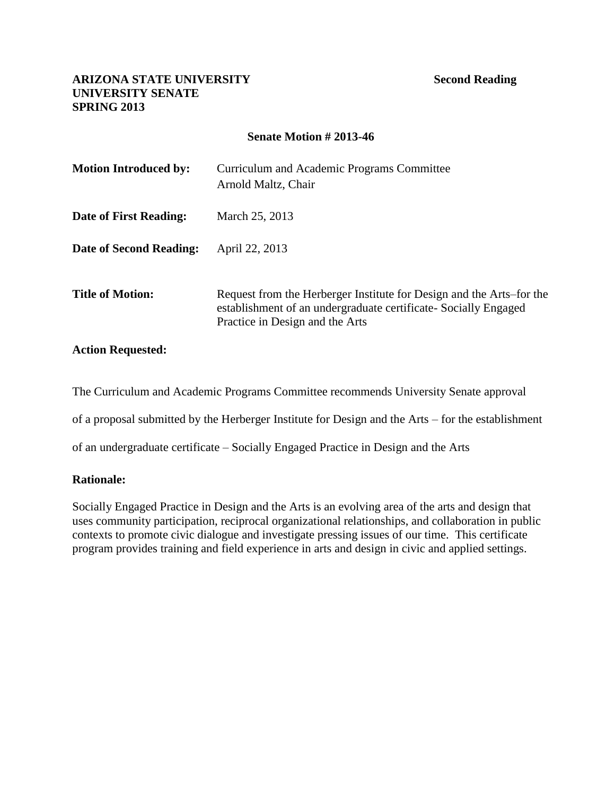### **Senate Motion # 2013-46**

| <b>Motion Introduced by:</b> | Curriculum and Academic Programs Committee<br>Arnold Maltz, Chair                                                                                                           |
|------------------------------|-----------------------------------------------------------------------------------------------------------------------------------------------------------------------------|
| Date of First Reading:       | March 25, 2013                                                                                                                                                              |
| Date of Second Reading:      | April 22, 2013                                                                                                                                                              |
| <b>Title of Motion:</b>      | Request from the Herberger Institute for Design and the Arts–for the<br>establishment of an undergraduate certificate - Socially Engaged<br>Practice in Design and the Arts |

#### **Action Requested:**

The Curriculum and Academic Programs Committee recommends University Senate approval

of a proposal submitted by the Herberger Institute for Design and the Arts – for the establishment

of an undergraduate certificate – Socially Engaged Practice in Design and the Arts

#### **Rationale:**

Socially Engaged Practice in Design and the Arts is an evolving area of the arts and design that uses community participation, reciprocal organizational relationships, and collaboration in public contexts to promote civic dialogue and investigate pressing issues of our time. This certificate program provides training and field experience in arts and design in civic and applied settings.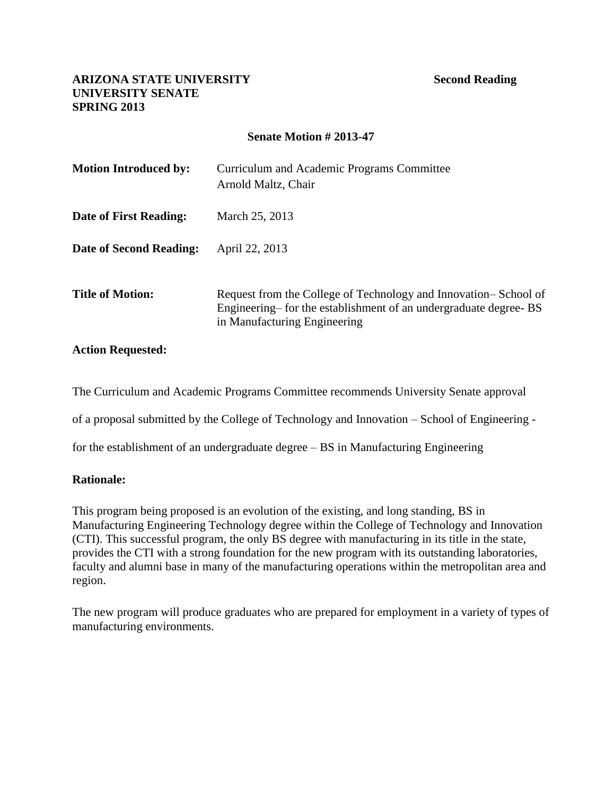### **Senate Motion # 2013-47**

| <b>Motion Introduced by:</b> | Curriculum and Academic Programs Committee<br>Arnold Maltz, Chair                                                                                                  |
|------------------------------|--------------------------------------------------------------------------------------------------------------------------------------------------------------------|
| Date of First Reading:       | March 25, 2013                                                                                                                                                     |
| Date of Second Reading:      | April 22, 2013                                                                                                                                                     |
| <b>Title of Motion:</b>      | Request from the College of Technology and Innovation–School of<br>Engineering—for the establishment of an undergraduate degree-BS<br>in Manufacturing Engineering |

#### **Action Requested:**

The Curriculum and Academic Programs Committee recommends University Senate approval

of a proposal submitted by the College of Technology and Innovation – School of Engineering -

for the establishment of an undergraduate degree – BS in Manufacturing Engineering

#### **Rationale:**

This program being proposed is an evolution of the existing, and long standing, BS in Manufacturing Engineering Technology degree within the College of Technology and Innovation (CTI). This successful program, the only BS degree with manufacturing in its title in the state, provides the CTI with a strong foundation for the new program with its outstanding laboratories, faculty and alumni base in many of the manufacturing operations within the metropolitan area and region.

The new program will produce graduates who are prepared for employment in a variety of types of manufacturing environments.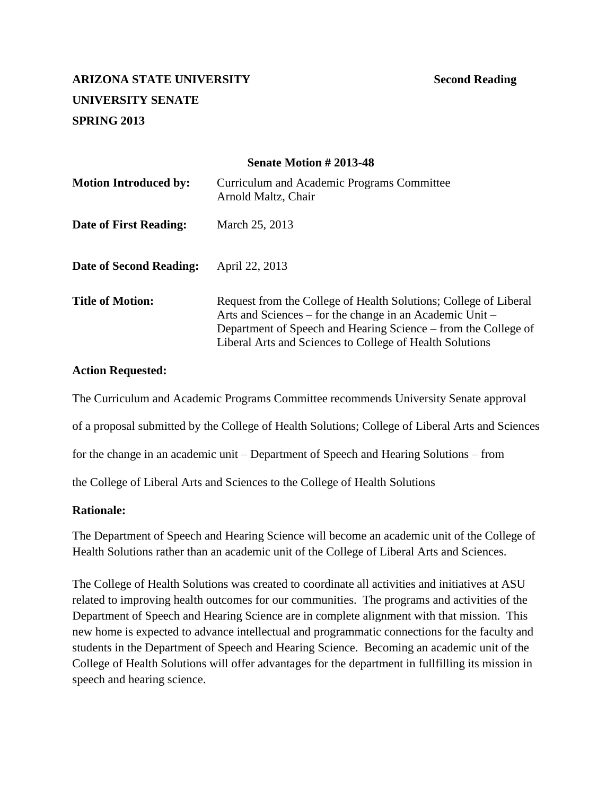#### **Senate Motion # 2013-48**

| <b>Motion Introduced by:</b> | Curriculum and Academic Programs Committee<br>Arnold Maltz, Chair                                                                                                                                                                                          |
|------------------------------|------------------------------------------------------------------------------------------------------------------------------------------------------------------------------------------------------------------------------------------------------------|
| Date of First Reading:       | March 25, 2013                                                                                                                                                                                                                                             |
| Date of Second Reading:      | April 22, 2013                                                                                                                                                                                                                                             |
| <b>Title of Motion:</b>      | Request from the College of Health Solutions; College of Liberal<br>Arts and Sciences – for the change in an Academic Unit –<br>Department of Speech and Hearing Science – from the College of<br>Liberal Arts and Sciences to College of Health Solutions |

#### **Action Requested:**

The Curriculum and Academic Programs Committee recommends University Senate approval of a proposal submitted by the College of Health Solutions; College of Liberal Arts and Sciences for the change in an academic unit – Department of Speech and Hearing Solutions – from

the College of Liberal Arts and Sciences to the College of Health Solutions

#### **Rationale:**

The Department of Speech and Hearing Science will become an academic unit of the College of Health Solutions rather than an academic unit of the College of Liberal Arts and Sciences.

The College of Health Solutions was created to coordinate all activities and initiatives at ASU related to improving health outcomes for our communities. The programs and activities of the Department of Speech and Hearing Science are in complete alignment with that mission. This new home is expected to advance intellectual and programmatic connections for the faculty and students in the Department of Speech and Hearing Science. Becoming an academic unit of the College of Health Solutions will offer advantages for the department in fullfilling its mission in speech and hearing science.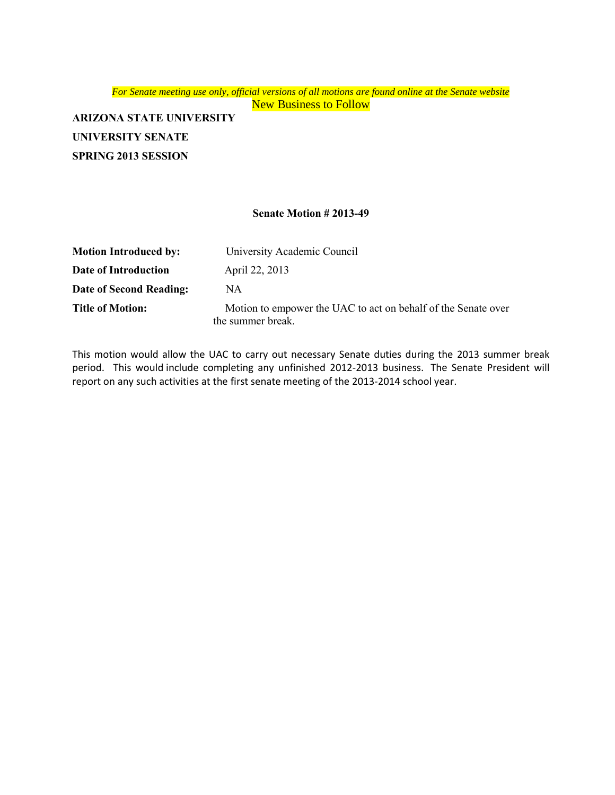*For Senate meeting use only, official versions of all motions are found online at the Senate website* New Business to Follow

**ARIZONA STATE UNIVERSITY UNIVERSITY SENATE SPRING 2013 SESSION**

#### **Senate Motion # 2013-49**

| <b>Motion Introduced by:</b> | University Academic Council                                                        |
|------------------------------|------------------------------------------------------------------------------------|
| Date of Introduction         | April 22, 2013                                                                     |
| Date of Second Reading:      | NA.                                                                                |
| <b>Title of Motion:</b>      | Motion to empower the UAC to act on behalf of the Senate over<br>the summer break. |

This motion would allow the UAC to carry out necessary Senate duties during the 2013 summer break period. This would include completing any unfinished 2012-2013 business. The Senate President will report on any such activities at the first senate meeting of the 2013-2014 school year.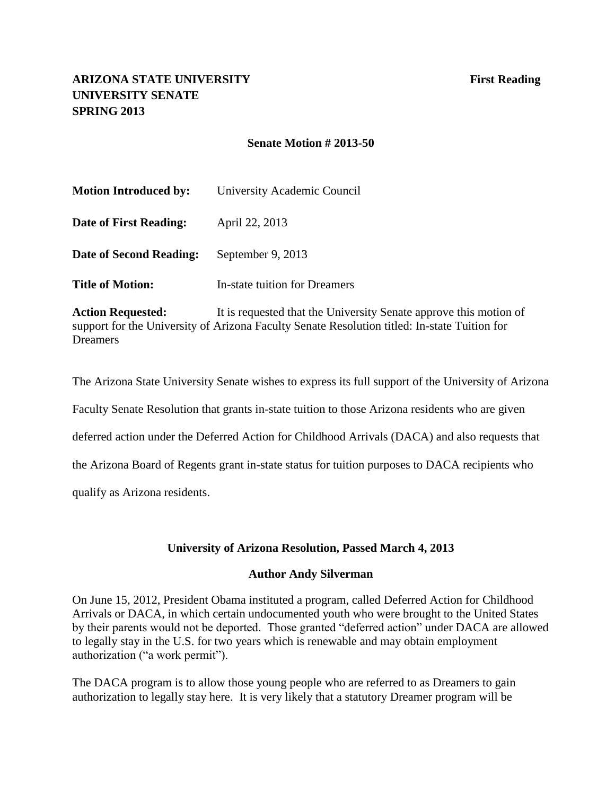### **Senate Motion # 2013-50**

| <b>Motion Introduced by:</b> | University Academic Council   |
|------------------------------|-------------------------------|
| Date of First Reading:       | April 22, 2013                |
| Date of Second Reading:      | September 9, 2013             |
| <b>Title of Motion:</b>      | In-state tuition for Dreamers |
|                              |                               |

**Action Requested:** It is requested that the University Senate approve this motion of support for the University of Arizona Faculty Senate Resolution titled: In-state Tuition for Dreamers

The Arizona State University Senate wishes to express its full support of the University of Arizona Faculty Senate Resolution that grants in-state tuition to those Arizona residents who are given deferred action under the Deferred Action for Childhood Arrivals (DACA) and also requests that the Arizona Board of Regents grant in-state status for tuition purposes to DACA recipients who qualify as Arizona residents.

## **University of Arizona Resolution, Passed March 4, 2013**

#### **Author Andy Silverman**

On June 15, 2012, President Obama instituted a program, called Deferred Action for Childhood Arrivals or DACA, in which certain undocumented youth who were brought to the United States by their parents would not be deported. Those granted "deferred action" under DACA are allowed to legally stay in the U.S. for two years which is renewable and may obtain employment authorization ("a work permit").

The DACA program is to allow those young people who are referred to as Dreamers to gain authorization to legally stay here. It is very likely that a statutory Dreamer program will be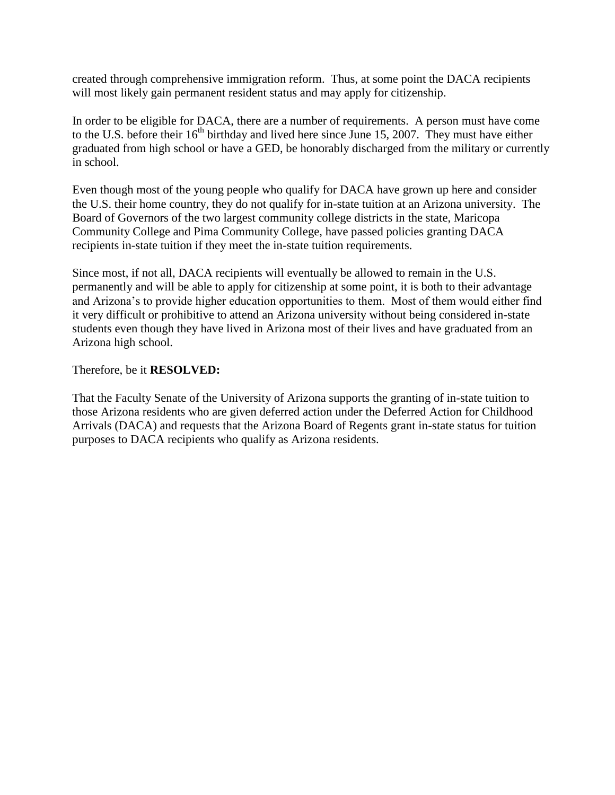created through comprehensive immigration reform. Thus, at some point the DACA recipients will most likely gain permanent resident status and may apply for citizenship.

In order to be eligible for DACA, there are a number of requirements. A person must have come to the U.S. before their  $16<sup>th</sup>$  birthday and lived here since June 15, 2007. They must have either graduated from high school or have a GED, be honorably discharged from the military or currently in school.

Even though most of the young people who qualify for DACA have grown up here and consider the U.S. their home country, they do not qualify for in-state tuition at an Arizona university. The Board of Governors of the two largest community college districts in the state, Maricopa Community College and Pima Community College, have passed policies granting DACA recipients in-state tuition if they meet the in-state tuition requirements.

Since most, if not all, DACA recipients will eventually be allowed to remain in the U.S. permanently and will be able to apply for citizenship at some point, it is both to their advantage and Arizona's to provide higher education opportunities to them. Most of them would either find it very difficult or prohibitive to attend an Arizona university without being considered in-state students even though they have lived in Arizona most of their lives and have graduated from an Arizona high school.

Therefore, be it **RESOLVED:**

That the Faculty Senate of the University of Arizona supports the granting of in-state tuition to those Arizona residents who are given deferred action under the Deferred Action for Childhood Arrivals (DACA) and requests that the Arizona Board of Regents grant in-state status for tuition purposes to DACA recipients who qualify as Arizona residents.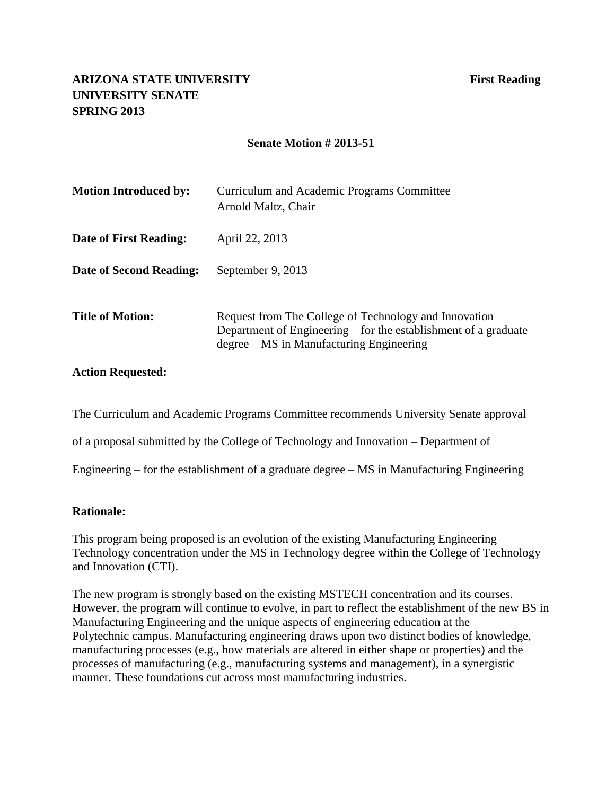### **Senate Motion # 2013-51**

| <b>Motion Introduced by:</b> | Curriculum and Academic Programs Committee<br>Arnold Maltz, Chair                                                                                                      |
|------------------------------|------------------------------------------------------------------------------------------------------------------------------------------------------------------------|
| Date of First Reading:       | April 22, 2013                                                                                                                                                         |
| Date of Second Reading:      | September 9, 2013                                                                                                                                                      |
| Title of Motion:             | Request from The College of Technology and Innovation –<br>Department of Engineering – for the establishment of a graduate<br>degree – MS in Manufacturing Engineering |

#### **Action Requested:**

The Curriculum and Academic Programs Committee recommends University Senate approval

of a proposal submitted by the College of Technology and Innovation – Department of

Engineering – for the establishment of a graduate degree  $- MS$  in Manufacturing Engineering

#### **Rationale:**

This program being proposed is an evolution of the existing Manufacturing Engineering Technology concentration under the MS in Technology degree within the College of Technology and Innovation (CTI).

The new program is strongly based on the existing MSTECH concentration and its courses. However, the program will continue to evolve, in part to reflect the establishment of the new BS in Manufacturing Engineering and the unique aspects of engineering education at the Polytechnic campus. Manufacturing engineering draws upon two distinct bodies of knowledge, manufacturing processes (e.g., how materials are altered in either shape or properties) and the processes of manufacturing (e.g., manufacturing systems and management), in a synergistic manner. These foundations cut across most manufacturing industries.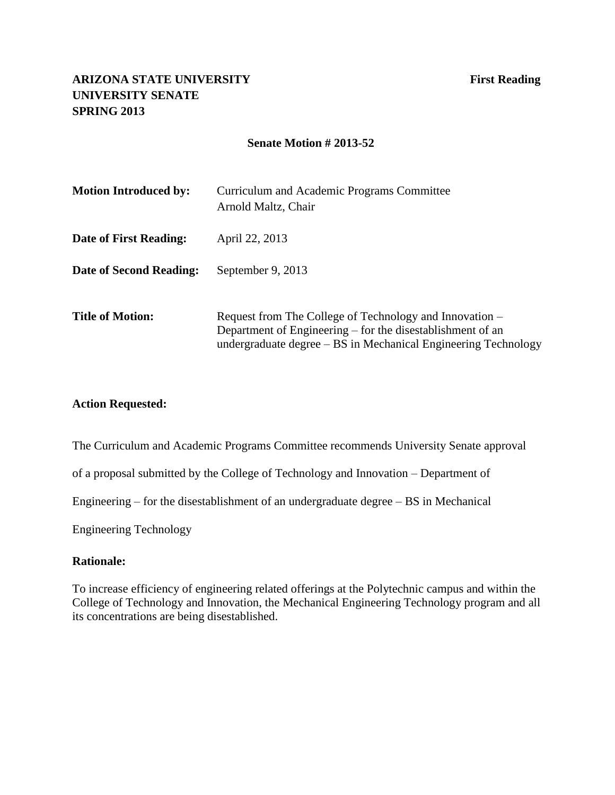#### **Senate Motion # 2013-52**

| <b>Motion Introduced by:</b> | Curriculum and Academic Programs Committee<br>Arnold Maltz, Chair                                                                                                                       |
|------------------------------|-----------------------------------------------------------------------------------------------------------------------------------------------------------------------------------------|
| Date of First Reading:       | April 22, 2013                                                                                                                                                                          |
| Date of Second Reading:      | September 9, 2013                                                                                                                                                                       |
| <b>Title of Motion:</b>      | Request from The College of Technology and Innovation –<br>Department of Engineering – for the disestablishment of an<br>undergraduate degree – BS in Mechanical Engineering Technology |

#### **Action Requested:**

The Curriculum and Academic Programs Committee recommends University Senate approval

of a proposal submitted by the College of Technology and Innovation – Department of

Engineering – for the disestablishment of an undergraduate degree – BS in Mechanical

Engineering Technology

#### **Rationale:**

To increase efficiency of engineering related offerings at the Polytechnic campus and within the College of Technology and Innovation, the Mechanical Engineering Technology program and all its concentrations are being disestablished.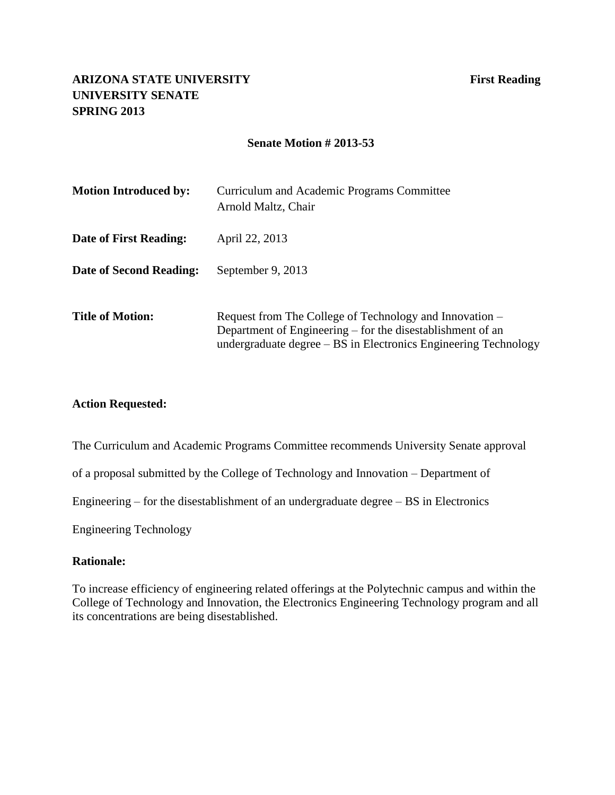#### **Senate Motion # 2013-53**

| <b>Motion Introduced by:</b> | Curriculum and Academic Programs Committee<br>Arnold Maltz, Chair                                                                                                                        |
|------------------------------|------------------------------------------------------------------------------------------------------------------------------------------------------------------------------------------|
| Date of First Reading:       | April 22, 2013                                                                                                                                                                           |
| Date of Second Reading:      | September 9, 2013                                                                                                                                                                        |
| <b>Title of Motion:</b>      | Request from The College of Technology and Innovation –<br>Department of Engineering – for the disestablishment of an<br>undergraduate degree – BS in Electronics Engineering Technology |

#### **Action Requested:**

The Curriculum and Academic Programs Committee recommends University Senate approval

of a proposal submitted by the College of Technology and Innovation – Department of

Engineering – for the disestablishment of an undergraduate degree – BS in Electronics

Engineering Technology

#### **Rationale:**

To increase efficiency of engineering related offerings at the Polytechnic campus and within the College of Technology and Innovation, the Electronics Engineering Technology program and all its concentrations are being disestablished.